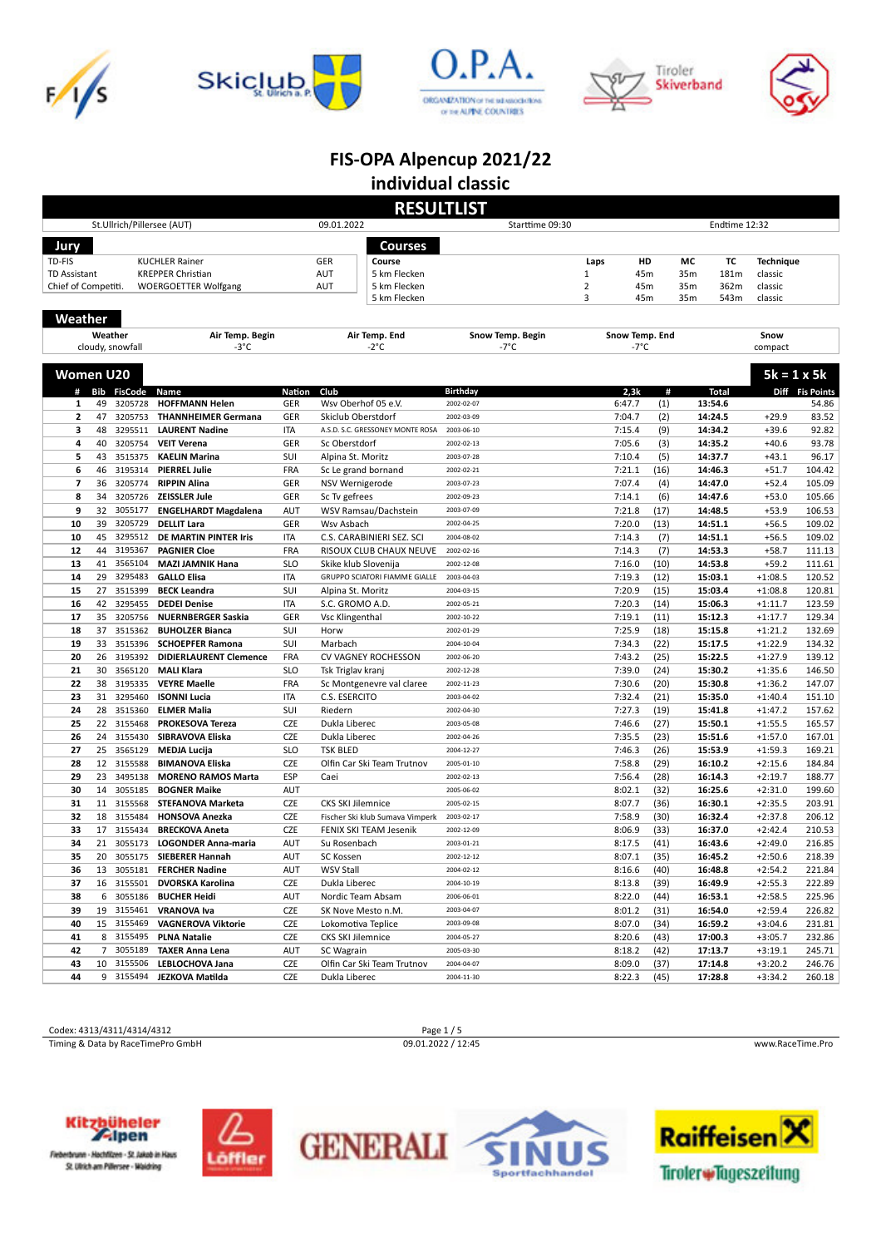









# **FIS-OPA Alpencup 2021/22**

**individual classic**

|                     | <b>RESULTLIST</b> |                            |                                                     |                   |                                          |                          |                  |                |               |                    |                        |                  |  |
|---------------------|-------------------|----------------------------|-----------------------------------------------------|-------------------|------------------------------------------|--------------------------|------------------|----------------|---------------|--------------------|------------------------|------------------|--|
|                     |                   | St.Ullrich/Pillersee (AUT) |                                                     |                   | 09.01.2022                               | Starttime 09:30          |                  |                | Endtime 12:32 |                    |                        |                  |  |
| Jury                |                   |                            |                                                     |                   | Courses                                  |                          |                  |                |               |                    |                        |                  |  |
| TD-FIS              |                   |                            | <b>KUCHLER Rainer</b>                               |                   | GER<br>Course                            |                          | Laps             | HD             | мс            | ТC                 | <b>Technique</b>       |                  |  |
| <b>TD Assistant</b> |                   |                            | <b>KREPPER Christian</b>                            |                   | AUT<br>5 km Flecken                      |                          | $\mathbf 1$      | 45m            | 35m           | 181m               | classic                |                  |  |
| Chief of Competiti. |                   |                            | <b>WOERGOETTER Wolfgang</b>                         |                   | AUT<br>5 km Flecken                      |                          | $\overline{2}$   | 45m            | 35m           | 362m               | classic                |                  |  |
|                     |                   |                            |                                                     |                   | 5 km Flecken                             |                          | 3                | 45m            | 35m           | 543m               | classic                |                  |  |
| Weather             |                   |                            |                                                     |                   |                                          |                          |                  |                |               |                    |                        |                  |  |
|                     |                   | Weather                    | Air Temp. Begin                                     |                   | Air Temp. End                            | Snow Temp. Begin         |                  | Snow Temp. End |               |                    | Snow                   |                  |  |
|                     |                   | cloudy, snowfall           | $-3^{\circ}$ C                                      |                   | -2°C                                     | -7°C                     |                  | -7°C           |               |                    | compact                |                  |  |
|                     |                   |                            |                                                     |                   |                                          |                          |                  |                |               |                    |                        |                  |  |
| <b>Women U20</b>    |                   |                            |                                                     |                   |                                          |                          |                  |                |               |                    | $5k = 1 \times 5k$     |                  |  |
|                     |                   | # Bib FisCode              | Name                                                | <b>Nation</b>     | Club                                     | <b>Birthday</b>          | 2,3k             | #              |               | <b>Total</b>       |                        | Diff Fis Points  |  |
| 1                   | 49                | 3205728                    | <b>HOFFMANN Helen</b>                               | GER               | Wsv Oberhof 05 e.V.                      | 2002-02-07               | 6:47.7           | (1)            |               | 13:54.6            |                        | 54.86            |  |
| 2                   | 47                | 3205753                    | <b>THANNHEIMER Germana</b>                          | GER               | Skiclub Oberstdorf                       | 2002-03-09               | 7:04.7           | (2)            |               | 14:24.5            | $+29.9$                | 83.52            |  |
| 3                   | 48                | 3295511                    | <b>LAURENT Nadine</b>                               | <b>ITA</b>        | A.S.D. S.C. GRESSONEY MONTE ROSA         | 2003-06-10               | 7:15.4           | (9)            |               | 14:34.2            | $+39.6$                | 92.82            |  |
| 4                   | 40                | 3205754                    | <b>VEIT Verena</b>                                  | GER               | Sc Oberstdorf                            | 2002-02-13               | 7:05.6           | (3)            |               | 14:35.2            | $+40.6$                | 93.78            |  |
| 5                   | 43                | 3515375                    | <b>KAELIN Marina</b>                                | SUI               | Alpina St. Moritz                        | 2003-07-28               | 7:10.4           | (5)            |               | 14:37.7            | $+43.1$                | 96.17            |  |
| 6                   | 46                | 3195314                    | <b>PIERREL Julie</b>                                | FRA               | Sc Le grand bornand                      | 2002-02-21               | 7:21.1           | (16)           |               | 14:46.3            | $+51.7$                | 104.42           |  |
| 7                   | 36                | 3205774                    | <b>RIPPIN Alina</b>                                 | GER               | NSV Wernigerode                          | 2003-07-23               | 7:07.4           | (4)            |               | 14:47.0            | $+52.4$                | 105.09           |  |
| 8                   | 34                | 3205726                    | <b>ZEISSLER Jule</b>                                | GER               | Sc Tv gefrees                            | 2002-09-23               | 7:14.1           | (6)            |               | 14:47.6            | $+53.0$                | 105.66           |  |
| 9                   | 32                | 3055177                    | <b>ENGELHARDT Magdalena</b><br><b>DELLIT Lara</b>   | AUT               | WSV Ramsau/Dachstein                     | 2003-07-09<br>2002-04-25 | 7:21.8           | (17)           |               | 14:48.5            | $+53.9$                | 106.53           |  |
| 10<br>10            | 39<br>45          | 3205729<br>3295512         | <b>DE MARTIN PINTER Iris</b>                        | GER<br><b>ITA</b> | Wsv Asbach<br>C.S. CARABINIERI SEZ. SCI  | 2004-08-02               | 7:20.0<br>7:14.3 | (13)<br>(7)    |               | 14:51.1<br>14:51.1 | $+56.5$<br>$+56.5$     | 109.02<br>109.02 |  |
| 12                  | 44                | 3195367                    | <b>PAGNIER Cloe</b>                                 | <b>FRA</b>        | RISOUX CLUB CHAUX NEUVE                  | 2002-02-16               | 7:14.3           | (7)            |               | 14:53.3            | $+58.7$                | 111.13           |  |
| 13                  | 41                | 3565104                    | <b>MAZI JAMNIK Hana</b>                             | <b>SLO</b>        | Skike klub Slovenija                     | 2002-12-08               | 7:16.0           | (10)           |               | 14:53.8            | $+59.2$                | 111.61           |  |
| 14                  | 29                | 3295483                    | <b>GALLO Elisa</b>                                  | <b>ITA</b>        | GRUPPO SCIATORI FIAMME GIALLE 2003-04-03 |                          | 7:19.3           | (12)           |               | 15:03.1            | $+1:08.5$              | 120.52           |  |
| 15                  | 27                | 3515399                    | <b>BECK Leandra</b>                                 | SUI               | Alpina St. Moritz                        | 2004-03-15               | 7:20.9           | (15)           |               | 15:03.4            | $+1:08.8$              | 120.81           |  |
| 16                  | 42                | 3295455                    | <b>DEDEI Denise</b>                                 | <b>ITA</b>        | S.C. GROMO A.D.                          | 2002-05-21               | 7:20.3           | (14)           |               | 15:06.3            | $+1:11.7$              | 123.59           |  |
| 17                  | 35                | 3205756                    | <b>NUERNBERGER Saskia</b>                           | GER               | Vsc Klingenthal                          | 2002-10-22               | 7:19.1           | (11)           |               | 15:12.3            | $+1:17.7$              | 129.34           |  |
| 18                  | 37                | 3515362                    | <b>BUHOLZER Bianca</b>                              | SUI               | Horw                                     | 2002-01-29               | 7:25.9           | (18)           |               | 15:15.8            | $+1:21.2$              | 132.69           |  |
| 19                  | 33                | 3515396                    | <b>SCHOEPFER Ramona</b>                             | SUI               | Marbach                                  | 2004-10-04               | 7:34.3           | (22)           |               | 15:17.5            | $+1:22.9$              | 134.32           |  |
| 20                  | 26                | 3195392                    | <b>DIDIERLAURENT Clemence</b>                       | <b>FRA</b>        | CV VAGNEY ROCHESSON                      | 2002-06-20               | 7:43.2           | (25)           |               | 15:22.5            | $+1:27.9$              | 139.12           |  |
| 21                  | 30                | 3565120                    | <b>MALI Klara</b>                                   | <b>SLO</b>        | Tsk Triglav kranj                        | 2002-12-28               | 7:39.0           | (24)           |               | 15:30.2            | $+1:35.6$              | 146.50           |  |
| 22                  | 38                | 3195335                    | <b>VEYRE Maelle</b>                                 | FRA               | Sc Montgenevre val claree                | 2002-11-23               | 7:30.6           | (20)           |               | 15:30.8            | $+1:36.2$              | 147.07           |  |
| 23                  | 31                | 3295460                    | <b>ISONNI Lucia</b>                                 | <b>ITA</b>        | C.S. ESERCITO                            | 2003-04-02               | 7:32.4           | (21)           |               | 15:35.0            | $+1:40.4$              | 151.10           |  |
| 24                  | 28                | 3515360                    | <b>ELMER Malia</b>                                  | SUI               | Riedern                                  | 2002-04-30               | 7:27.3           | (19)           |               | 15:41.8            | $+1:47.2$              | 157.62           |  |
| 25                  | 22                | 3155468                    | <b>PROKESOVA Tereza</b>                             | CZE               | Dukla Liberec                            | 2003-05-08               | 7:46.6           | (27)           |               | 15:50.1            | $+1:55.5$              | 165.57           |  |
| 26                  |                   | 24 3155430                 | SIBRAVOVA Eliska                                    | CZE               | Dukla Liberec                            | 2002-04-26               | 7:35.5           | (23)           |               | 15:51.6            | $+1:57.0$              | 167.01           |  |
| 27                  | 25                | 3565129                    | MEDJA Lucija                                        | <b>SLO</b>        | <b>TSK BLED</b>                          | 2004-12-27<br>2005-01-10 | 7:46.3           | (26)           |               | 15:53.9            | $+1:59.3$              | 169.21           |  |
| 28<br>29            | 23                | 12 3155588<br>3495138      | <b>BIMANOVA Eliska</b><br><b>MORENO RAMOS Marta</b> | CZE<br>ESP        | Olfin Car Ski Team Trutnov<br>Caei       | 2002-02-13               | 7:58.8<br>7:56.4 | (29)<br>(28)   |               | 16:10.2<br>16:14.3 | $+2:15.6$<br>$+2:19.7$ | 184.84<br>188.77 |  |
| 30                  | 14                | 3055185                    | <b>BOGNER Maike</b>                                 | AUT               |                                          | 2005-06-02               | 8:02.1           | (32)           |               | 16:25.6            | $+2:31.0$              | 199.60           |  |
| 31                  | 11                | 3155568                    | <b>STEFANOVA Marketa</b>                            | CZE               | CKS SKI Jilemnice                        | 2005-02-15               | 8:07.7           | (36)           |               | 16:30.1            | $+2:35.5$              | 203.91           |  |
| 32                  |                   | 18 3155484                 | <b>HONSOVA Anezka</b>                               | CZE               | Fischer Ski klub Sumava Vimperk          | 2003-02-17               | 7:58.9           | (30)           |               | 16:32.4            | $+2:37.8$              | 206.12           |  |
| 33                  | 17                | 3155434                    | <b>BRECKOVA Aneta</b>                               | CZE               | FENIX SKI TEAM Jesenik                   | 2002-12-09               | 8:06.9           | (33)           |               | 16:37.0            | $+2:42.4$              | 210.53           |  |
| 34                  | 21                | 3055173                    | <b>LOGONDER Anna-maria</b>                          | <b>AUT</b>        | Su Rosenbach                             | 2003-01-21               | 8:17.5           | (41)           |               | 16:43.6            | $+2:49.0$              | 216.85           |  |
| 35                  | 20                | 3055175                    | <b>SIEBERER Hannah</b>                              | <b>AUT</b>        | SC Kossen                                | 2002-12-12               | 8:07.1           | (35)           |               | 16:45.2            | $+2:50.6$              | 218.39           |  |
| 36                  |                   | 13 3055181                 | <b>FERCHER Nadine</b>                               | AUT               | WSV Stall                                | 2004-02-12               | 8:16.6           | (40)           |               | 16:48.8            | $+2:54.2$              | 221.84           |  |
| 37                  |                   | 16 3155501                 | <b>DVORSKA Karolina</b>                             | CZE               | Dukla Liberec                            | 2004-10-19               | 8:13.8           | (39)           |               | 16:49.9            | $+2:55.3$              | 222.89           |  |
| 38                  |                   | 6 3055186                  | <b>BUCHER Heidi</b>                                 | AUT               | Nordic Team Absam                        | 2006-06-01               | 8:22.0           | (44)           |               | 16:53.1            | $+2:58.5$              | 225.96           |  |
| 39                  |                   | 19 3155461                 | <b>VRANOVA Iva</b>                                  | CZE               | SK Nove Mesto n.M.                       | 2003-04-07               | 8:01.2           | (31)           |               | 16:54.0            | $+2:59.4$              | 226.82           |  |
| 40                  |                   | 15 3155469                 | <b>VAGNEROVA Viktorie</b>                           | CZE               | Lokomotiva Teplice                       | 2003-09-08               | 8:07.0           | (34)           |               | 16:59.2            | $+3:04.6$              | 231.81           |  |
| 41                  |                   | 8 3155495                  | <b>PLNA Natalie</b>                                 | CZE               | CKS SKI Jilemnice                        | 2004-05-27               | 8:20.6           | (43)           |               | 17:00.3            | $+3:05.7$              | 232.86           |  |
| 42                  |                   | 7 3055189                  | <b>TAXER Anna Lena</b>                              | AUT               | SC Wagrain                               | 2005-03-30               | 8:18.2           | (42)           |               | 17:13.7            | $+3:19.1$              | 245.71           |  |
| 43                  | 10                | 3155506                    | LEBLOCHOVA Jana                                     | CZE               | Olfin Car Ski Team Trutnov               | 2004-04-07               | 8:09.0           | (37)           |               | 17:14.8            | $+3:20.2$              | 246.76           |  |
| 44                  |                   | 9 3155494                  | JEZKOVA Matilda                                     | CZE               | Dukla Liberec                            | 2004-11-30               | 8:22.3           | (45)           |               | 17:28.8            | $+3:34.2$              | 260.18           |  |

Codex: 4313/4311/4314/4312 Page 1 / 5<br>
Timing & Data by RaceTimePro GmbH 09.01.2022 / 12:45 Timing & Data by RaceTimePro GmbH 09.01.2022 / 12:45 www.RaceTime.Pro









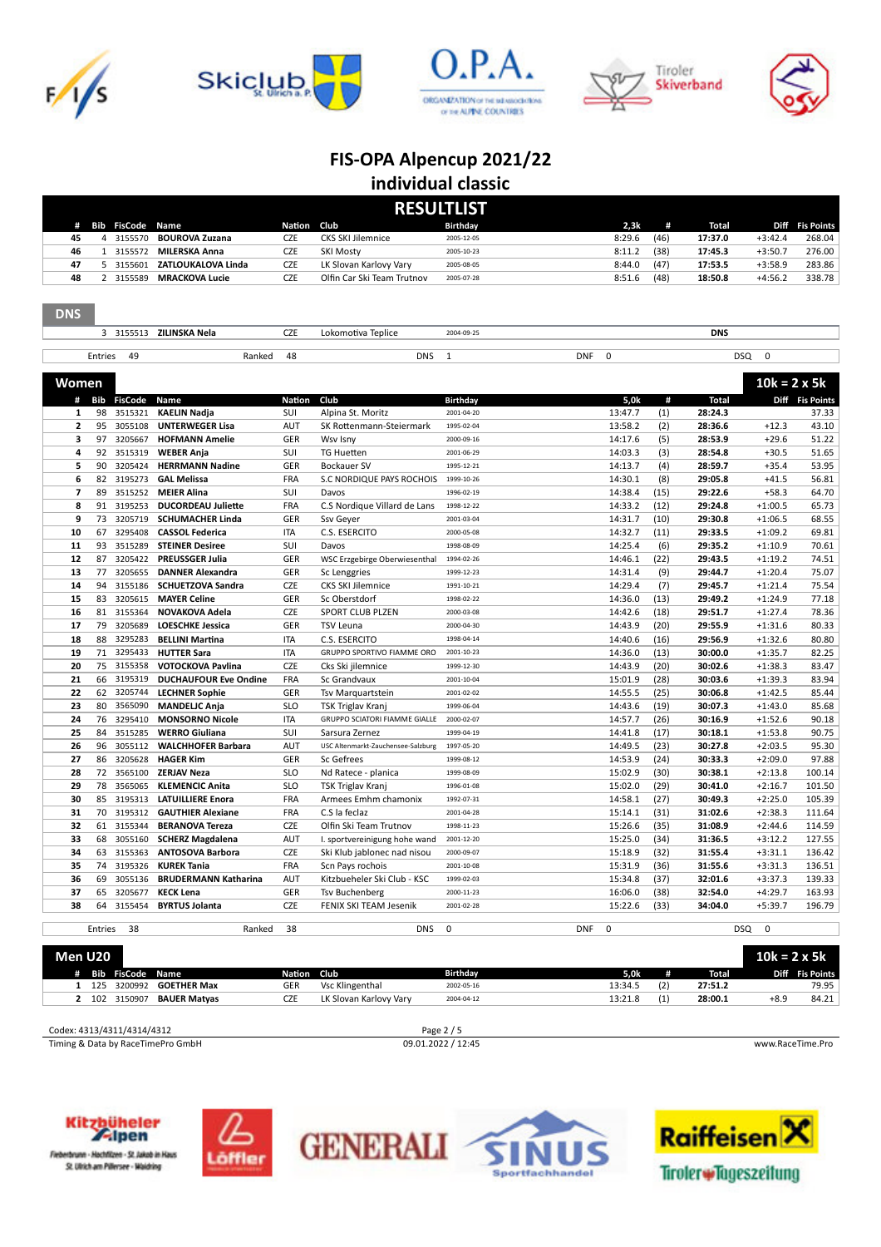









|    | <b>RESULTLIST</b> |                         |                       |               |                            |            |        |      |         |           |                 |
|----|-------------------|-------------------------|-----------------------|---------------|----------------------------|------------|--------|------|---------|-----------|-----------------|
| #  |                   | <b>Bib FisCode Name</b> |                       | <b>Nation</b> | <b>Club</b>                | Birthday   | 2,3k   | #    | Total   |           | Diff Fis Points |
| 45 |                   | 3155570                 | <b>BOUROVA Zuzana</b> | <b>CZE</b>    | <b>CKS SKI Jilemnice</b>   | 2005-12-05 | 8:29.6 | (46) | 17:37.0 | $+3:42.4$ | 268.04          |
| 46 |                   | 3155572                 | MILERSKA Anna         | <b>CZE</b>    | <b>SKI Mostv</b>           | 2005-10-23 | 8:11.2 | (38) | 17:45.3 | $+3:50.7$ | 276.00          |
| 47 |                   | 3155601                 | ZATLOUKALOVA Linda    | <b>CZE</b>    | LK Slovan Karlovy Vary     | 2005-08-05 | 8:44.0 | (47) | 17:53.5 | $+3:58.9$ | 283.86          |
| 48 |                   | 3155589                 | MRACKOVA Lucie        | CZE           | Olfin Car Ski Team Trutnov | 2005-07-28 | 8:51.6 | (48) | 18:50.8 | $+4:56.2$ | 338.78          |

| <b>DNS</b>               |          |                    |                                                   |               |                                                 |                          |            |                    |              |                    |                        |                 |
|--------------------------|----------|--------------------|---------------------------------------------------|---------------|-------------------------------------------------|--------------------------|------------|--------------------|--------------|--------------------|------------------------|-----------------|
|                          |          |                    | 3 3155513 ZILINSKA Nela                           | <b>CZE</b>    | Lokomotiva Teplice                              | 2004-09-25               |            |                    |              | <b>DNS</b>         |                        |                 |
|                          |          |                    |                                                   |               |                                                 |                          |            |                    |              |                    |                        |                 |
|                          | Entries  | 49                 | Ranked                                            | 48            | <b>DNS</b>                                      | $\mathbf{1}$             | <b>DNF</b> | $\pmb{0}$          |              | <b>DSQ</b>         | $\mathbf 0$            |                 |
|                          |          |                    |                                                   |               |                                                 |                          |            |                    |              |                    |                        |                 |
| <b>Women</b>             |          |                    |                                                   |               |                                                 |                          |            |                    |              |                    | $10k = 2 \times 5k$    |                 |
| #                        | Bib      | <b>FisCode</b>     | Name                                              | <b>Nation</b> | Club                                            | Birthday                 |            | 5,0k               | #            | <b>Total</b>       |                        | Diff Fis Points |
| 1                        | 98       | 3515321            | <b>KAELIN Nadja</b>                               | SUI           | Alpina St. Moritz                               | 2001-04-20               |            | 13:47.7            | (1)          | 28:24.3            |                        | 37.33           |
| $\overline{2}$           | 95       | 3055108            | <b>UNTERWEGER Lisa</b>                            | AUT           | SK Rottenmann-Steiermark                        | 1995-02-04               |            | 13:58.2            | (2)          | 28:36.6            | $+12.3$                | 43.10           |
| 3                        | 97       | 3205667            | <b>HOFMANN Amelie</b>                             | GER           | Wsv Isny                                        | 2000-09-16               |            | 14:17.6            | (5)          | 28:53.9            | $+29.6$                | 51.22           |
| 4                        | 92       | 3515319            | <b>WEBER Anja</b>                                 | SUI           | <b>TG Huetten</b>                               | 2001-06-29               |            | 14:03.3            | (3)          | 28:54.8            | $+30.5$                | 51.65           |
| 5                        | 90       | 3205424            | <b>HERRMANN Nadine</b>                            | GER           | Bockauer SV                                     | 1995-12-21               |            | 14:13.7            | (4)          | 28:59.7            | $+35.4$                | 53.95           |
| 6                        | 82       | 3195273            | <b>GAL Melissa</b>                                | FRA           | S.C NORDIQUE PAYS ROCHOIS                       | 1999-10-26               |            | 14:30.1            | (8)          | 29:05.8            | $+41.5$                | 56.81           |
| $\overline{\phantom{a}}$ | 89       | 3515252            | <b>MEIER Alina</b>                                | SUI           | Davos                                           | 1996-02-19               |            | 14:38.4            | (15)         | 29:22.6            | $+58.3$                | 64.70           |
| 8                        | 91       | 3195253            | <b>DUCORDEAU Juliette</b>                         | <b>FRA</b>    | C.S Nordique Villard de Lans                    | 1998-12-22               |            | 14:33.2            | (12)         | 29:24.8            | $+1:00.5$              | 65.73           |
| 9                        | 73       | 3205719            | <b>SCHUMACHER Linda</b>                           | GER           | Ssv Geyer                                       | 2001-03-04               |            | 14:31.7            | (10)         | 29:30.8            | $+1:06.5$              | 68.55           |
| 10                       | 67       | 3295408            | <b>CASSOL Federica</b>                            | <b>ITA</b>    | C.S. ESERCITO                                   | 2000-05-08               |            | 14:32.7            | (11)         | 29:33.5            | $+1:09.2$              | 69.81           |
| 11                       | 93       | 3515289            | <b>STEINER Desiree</b>                            | SUI           | Davos                                           | 1998-08-09               |            | 14:25.4            | (6)          | 29:35.2            | $+1:10.9$              | 70.61           |
| 12                       | 87       | 3205422            | <b>PREUSSGER Julia</b>                            | GER<br>GER    | WSC Erzgebirge Oberwiesenthal                   | 1994-02-26               |            | 14:46.1            | (22)         | 29:43.5<br>29:44.7 | $+1:19.2$              | 74.51<br>75.07  |
| 13                       | 77<br>94 | 3205655            | <b>DANNER Alexandra</b>                           |               | Sc Lenggries                                    | 1999-12-23               |            | 14:31.4            | (9)          |                    | $+1:20.4$              |                 |
| 14                       | 83       | 3155186            | <b>SCHUETZOVA Sandra</b>                          | CZE           | <b>CKS SKI Jilemnice</b>                        | 1991-10-21               |            | 14:29.4            | (7)          | 29:45.7            | $+1:21.4$              | 75.54           |
| 15<br>16                 |          | 3205615<br>3155364 | <b>MAYER Celine</b>                               | GER<br>CZE    | Sc Oberstdorf<br>SPORT CLUB PLZEN               | 1998-02-22               |            | 14:36.0<br>14:42.6 | (13)<br>(18) | 29:49.2<br>29:51.7 | $+1:24.9$<br>$+1:27.4$ | 77.18<br>78.36  |
| 17                       | 81<br>79 | 3205689            | NOVAKOVA Adela                                    | GER           |                                                 | 2000-03-08               |            |                    | (20)         | 29:55.9            | $+1:31.6$              | 80.33           |
| 18                       | 88       | 3295283            | <b>LOESCHKE Jessica</b><br><b>BELLINI Martina</b> | <b>ITA</b>    | <b>TSV Leuna</b><br>C.S. ESERCITO               | 2000-04-30<br>1998-04-14 |            | 14:43.9<br>14:40.6 | (16)         | 29:56.9            | $+1:32.6$              | 80.80           |
| 19                       | 71       | 3295433            | <b>HUTTER Sara</b>                                | <b>ITA</b>    |                                                 | 2001-10-23               |            |                    | (13)         | 30:00.0            | $+1:35.7$              | 82.25           |
| 20                       | 75       | 3155358            | <b>VOTOCKOVA Pavlina</b>                          | <b>CZE</b>    | GRUPPO SPORTIVO FIAMME ORO<br>Cks Ski jilemnice | 1999-12-30               |            | 14:36.0<br>14:43.9 | (20)         | 30:02.6            | $+1:38.3$              | 83.47           |
| 21                       | 66       | 3195319            | <b>DUCHAUFOUR Eve Ondine</b>                      | FRA           | Sc Grandvaux                                    | 2001-10-04               |            | 15:01.9            | (28)         | 30:03.6            | $+1:39.3$              | 83.94           |
| 22                       | 62       | 3205744            | <b>LECHNER Sophie</b>                             | GER           | Tsv Marguartstein                               | 2001-02-02               |            | 14:55.5            | (25)         | 30:06.8            | $+1:42.5$              | 85.44           |
| 23                       | 80       | 3565090            | <b>MANDELIC Anja</b>                              | <b>SLO</b>    | TSK Triglav Kranj                               | 1999-06-04               |            | 14:43.6            | (19)         | 30:07.3            | $+1:43.0$              | 85.68           |
| 24                       | 76       | 3295410            | <b>MONSORNO Nicole</b>                            | <b>ITA</b>    | GRUPPO SCIATORI FIAMME GIALLE                   | 2000-02-07               |            | 14:57.7            | (26)         | 30:16.9            | $+1:52.6$              | 90.18           |
| 25                       | 84       | 3515285            | <b>WERRO Giuliana</b>                             | SUI           | Sarsura Zernez                                  | 1999-04-19               |            | 14:41.8            | (17)         | 30:18.1            | $+1:53.8$              | 90.75           |
| 26                       | 96       | 3055112            | <b>WALCHHOFER Barbara</b>                         | <b>AUT</b>    | USC Altenmarkt-Zauchensee-Salzburg              | 1997-05-20               |            | 14:49.5            | (23)         | 30:27.8            | $+2:03.5$              | 95.30           |
| 27                       | 86       | 3205628            | <b>HAGER Kim</b>                                  | GER           | Sc Gefrees                                      | 1999-08-12               |            | 14:53.9            | (24)         | 30:33.3            | $+2:09.0$              | 97.88           |
| 28                       |          | 72 3565100         | <b>ZERJAV Neza</b>                                | <b>SLO</b>    | Nd Ratece - planica                             | 1999-08-09               |            | 15:02.9            | (30)         | 30:38.1            | $+2:13.8$              | 100.14          |
| 29                       | 78       | 3565065            | <b>KLEMENCIC Anita</b>                            | <b>SLO</b>    | <b>TSK Triglav Kranj</b>                        | 1996-01-08               |            | 15:02.0            | (29)         | 30:41.0            | $+2:16.7$              | 101.50          |
| 30                       | 85       | 3195313            | <b>LATUILLIERE Enora</b>                          | <b>FRA</b>    | Armees Emhm chamonix                            | 1992-07-31               |            | 14:58.1            | (27)         | 30:49.3            | $+2:25.0$              | 105.39          |
| 31                       | 70       | 3195312            | <b>GAUTHIER Alexiane</b>                          | FRA           | C.S la feclaz                                   | 2001-04-28               |            | 15:14.1            | (31)         | 31:02.6            | $+2:38.3$              | 111.64          |
| 32                       | 61       | 3155344            | <b>BERANOVA Tereza</b>                            | <b>CZE</b>    | Olfin Ski Team Trutnov                          | 1998-11-23               |            | 15:26.6            | (35)         | 31:08.9            | $+2:44.6$              | 114.59          |
| 33                       | 68       | 3055160            | <b>SCHERZ Magdalena</b>                           | <b>AUT</b>    | I. sportvereinigung hohe wand                   | 2001-12-20               |            | 15:25.0            | (34)         | 31:36.5            | $+3:12.2$              | 127.55          |
| 34                       | 63       | 3155363            | <b>ANTOSOVA Barbora</b>                           | <b>CZE</b>    | Ski Klub jablonec nad nisou                     | 2000-09-07               |            | 15:18.9            | (32)         | 31:55.4            | $+3:31.1$              | 136.42          |
| 35                       | 74       | 3195326            | <b>KUREK Tania</b>                                | FRA           | Scn Pays rochois                                | 2001-10-08               |            | 15:31.9            | (36)         | 31:55.6            | $+3:31.3$              | 136.51          |
| 36                       | 69       | 3055136            | <b>BRUDERMANN Katharina</b>                       | <b>AUT</b>    | Kitzbueheler Ski Club - KSC                     | 1999-02-03               |            | 15:34.8            | (37)         | 32:01.6            | $+3:37.3$              | 139.33          |
| 37                       | 65       | 3205677            | <b>KECK Lena</b>                                  | <b>GER</b>    | <b>Tsv Buchenberg</b>                           | 2000-11-23               |            | 16:06.0            | (38)         | 32:54.0            | $+4:29.7$              | 163.93          |
| 38                       | 64       | 3155454            | <b>BYRTUS Jolanta</b>                             | <b>CZE</b>    | FENIX SKI TEAM Jesenik                          | 2001-02-28               |            | 15:22.6            | (33)         | 34:04.0            | $+5:39.7$              | 196.79          |
|                          |          |                    |                                                   |               |                                                 |                          |            |                    |              |                    |                        |                 |
|                          | Entries  | 38                 | Ranked                                            | 38            | <b>DNS</b>                                      | $\mathbf 0$              | <b>DNF</b> | $\mathbf 0$        |              | <b>DSQ</b>         | $\mathbf 0$            |                 |

| Men U20 |     |                    |                            |             |                        |            |         |     | 10 $k = 2 \times 5k$ |        |                 |
|---------|-----|--------------------|----------------------------|-------------|------------------------|------------|---------|-----|----------------------|--------|-----------------|
|         |     | <b>Bib FisCode</b> | <b>Name</b>                | Nation Club |                        | Birthdav   | 5.0k    |     | Total                |        | Diff Fis Points |
|         | 125 |                    | 3200992 <b>GOETHER Max</b> | GER         | Vsc Klingenthal        | 2002-05-16 | 13:34.5 | (2) | 27:51.2              |        | 79.95           |
|         |     | 102 3150907        | <b>BAUER Matvas</b>        | <b>CZE</b>  | LK Slovan Karlovy Vary | 2004-04-12 | 13:21.8 | (1) | 28:00.1              | $+8.9$ | 84.21           |
|         |     |                    |                            |             |                        |            |         |     |                      |        |                 |

Codex: 4313/4311/4314/4312 Page 2 / 5<br>
Timing & Data by RaceTimePro GmbH 09.01.2022 / 12:45 Timing & Data by RaceTimePro GmbH 09.01.2022 / 12:45 www.RaceTime.Pro









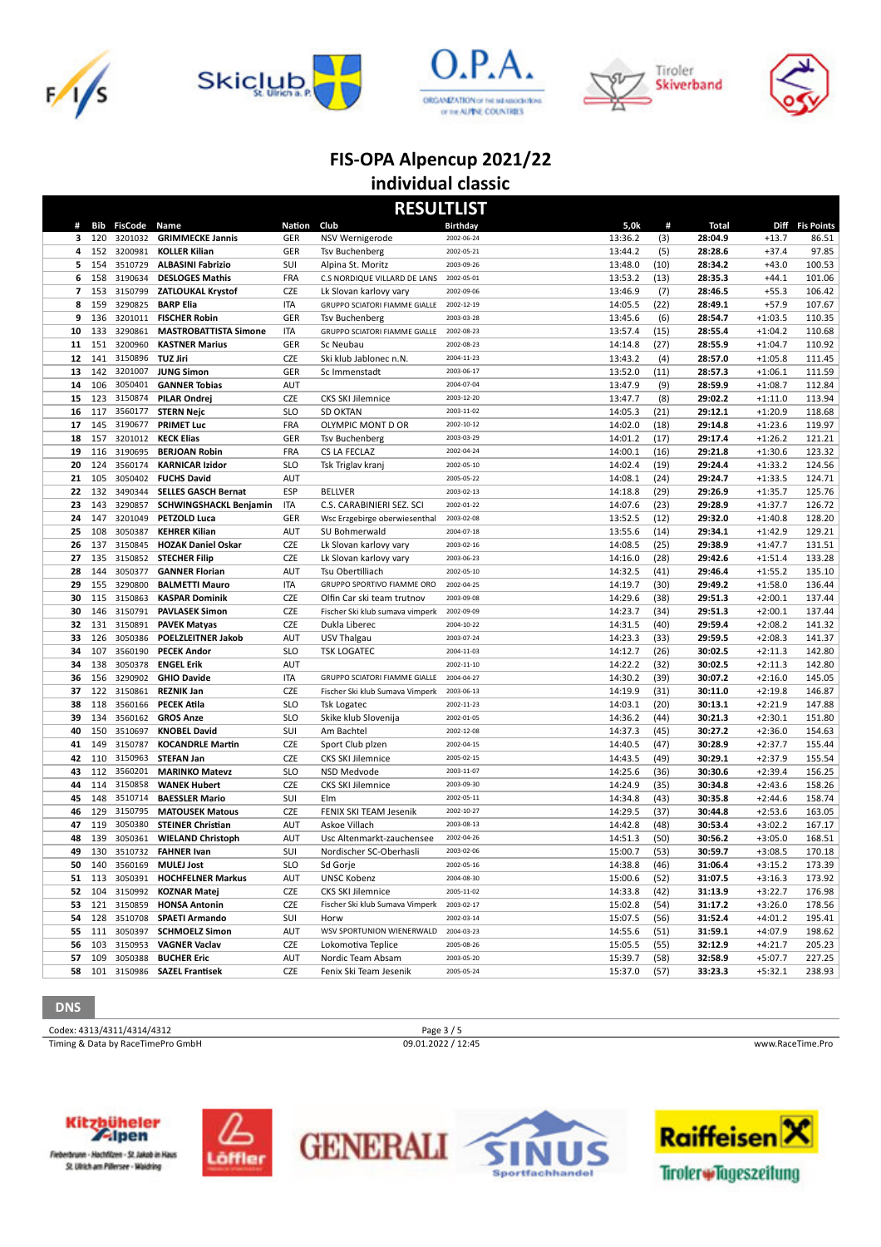









| <b>RESULTLIST</b> |            |                    |                                                |                          |                                         |                          |                    |              |                    |                        |                  |  |
|-------------------|------------|--------------------|------------------------------------------------|--------------------------|-----------------------------------------|--------------------------|--------------------|--------------|--------------------|------------------------|------------------|--|
| #                 | Bib        | <b>FisCode</b>     | Name                                           | Nation                   | Club                                    | Birthday                 | 5,0k               | #            | Total              |                        | Diff Fis Points  |  |
| 3                 | 120        | 3201032            | <b>GRIMMECKE Jannis</b>                        | <b>GER</b>               | NSV Wernigerode                         | 2002-06-24               | 13:36.2            | (3)          | 28:04.9            | $+13.7$                | 86.51            |  |
| 4                 | 152        | 3200981            | <b>KOLLER Kilian</b>                           | GER                      | <b>Tsv Buchenberg</b>                   | 2002-05-21               | 13:44.2            | (5)          | 28:28.6            | $+37.4$                | 97.85            |  |
| 5                 | 154        | 3510729            | <b>ALBASINI Fabrizio</b>                       | SUI                      | Alpina St. Moritz                       | 2003-09-26               | 13:48.0            | (10)         | 28:34.2            | $+43.0$                | 100.53           |  |
| 6                 | 158        | 3190634            | <b>DESLOGES Mathis</b>                         | <b>FRA</b>               | C.S NORDIQUE VILLARD DE LANS            | 2002-05-01               | 13:53.2            | (13)         | 28:35.3            | $+44.1$                | 101.06           |  |
| 7                 | 153        | 3150799            | <b>ZATLOUKAL Krystof</b>                       | <b>CZE</b>               | Lk Slovan karlovy vary                  | 2002-09-06               | 13:46.9            | (7)          | 28:46.5            | $+55.3$                | 106.42           |  |
| 8                 | 159        | 3290825            | <b>BARP Elia</b>                               | <b>ITA</b>               | GRUPPO SCIATORI FIAMME GIALLE           | 2002-12-19               | 14:05.5            | (22)         | 28:49.1            | $+57.9$                | 107.67           |  |
| 9                 | 136        | 3201011            | <b>FISCHER Robin</b>                           | GER                      | <b>Tsv Buchenberg</b>                   | 2003-03-28               | 13:45.6            | (6)          | 28:54.7            | $+1:03.5$              | 110.35           |  |
| 10                | 133        | 3290861            | <b>MASTROBATTISTA Simone</b>                   | <b>ITA</b>               | GRUPPO SCIATORI FIAMME GIALLE           | 2002-08-23               | 13:57.4            | (15)         | 28:55.4            | $+1:04.2$              | 110.68           |  |
| 11                | 151        | 3200960            | <b>KASTNER Marius</b>                          | GER                      | Sc Neubau                               | 2002-08-23<br>2004-11-23 | 14:14.8            | (27)         | 28:55.9            | $+1:04.7$              | 110.92           |  |
| 12<br>13          | 141<br>142 | 3150896<br>3201007 | <b>TUZ Jiri</b><br><b>JUNG Simon</b>           | <b>CZE</b><br>GER        | Ski klub Jablonec n.N.<br>Sc Immenstadt | 2003-06-17               | 13:43.2<br>13:52.0 | (4)<br>(11)  | 28:57.0<br>28:57.3 | $+1:05.8$<br>$+1:06.1$ | 111.45<br>111.59 |  |
| 14                | 106        | 3050401            | <b>GANNER Tobias</b>                           | AUT                      |                                         | 2004-07-04               | 13:47.9            | (9)          | 28:59.9            | $+1:08.7$              | 112.84           |  |
| 15                | 123        | 3150874            | PILAR Ondrej                                   | <b>CZE</b>               | <b>CKS SKI Jilemnice</b>                | 2003-12-20               | 13:47.7            | (8)          | 29:02.2            | $+1:11.0$              | 113.94           |  |
| 16                | 117        | 3560177            | <b>STERN Nejc</b>                              | <b>SLO</b>               | <b>SD OKTAN</b>                         | 2003-11-02               | 14:05.3            | (21)         | 29:12.1            | $+1:20.9$              | 118.68           |  |
| 17                | 145        | 3190677            | <b>PRIMET Luc</b>                              | <b>FRA</b>               | OLYMPIC MONT D OR                       | 2002-10-12               | 14:02.0            | (18)         | 29:14.8            | $+1:23.6$              | 119.97           |  |
| 18                | 157        | 3201012            | <b>KECK Elias</b>                              | GER                      | <b>Tsv Buchenberg</b>                   | 2003-03-29               | 14:01.2            | (17)         | 29:17.4            | $+1:26.2$              | 121.21           |  |
| 19                | 116        | 3190695            | <b>BERJOAN Robin</b>                           | <b>FRA</b>               | CS LA FECLAZ                            | 2002-04-24               | 14:00.1            | (16)         | 29:21.8            | $+1:30.6$              | 123.32           |  |
| 20                | 124        | 3560174            | <b>KARNICAR Izidor</b>                         | <b>SLO</b>               | Tsk Triglav kranj                       | 2002-05-10               | 14:02.4            | (19)         | 29:24.4            | $+1:33.2$              | 124.56           |  |
| 21                | 105        | 3050402            | <b>FUCHS David</b>                             | <b>AUT</b>               |                                         | 2005-05-22               | 14:08.1            | (24)         | 29:24.7            | $+1:33.5$              | 124.71           |  |
| 22                | 132        | 3490344            | <b>SELLES GASCH Bernat</b>                     | ESP                      | <b>BELLVER</b>                          | 2003-02-13               | 14:18.8            | (29)         | 29:26.9            | $+1:35.7$              | 125.76           |  |
| 23                | 143        | 3290857            | <b>SCHWINGSHACKL Benjamin</b>                  | <b>ITA</b>               | C.S. CARABINIERI SEZ. SCI               | 2002-01-22               | 14:07.6            | (23)         | 29:28.9            | $+1:37.7$              | 126.72           |  |
| 24                | 147        | 3201049            | PETZOLD Luca                                   | GER                      | Wsc Erzgebirge oberwiesenthal           | 2003-02-08               | 13:52.5            | (12)         | 29:32.0            | $+1:40.8$              | 128.20           |  |
| 25                | 108        | 3050387            | <b>KEHRER Kilian</b>                           | <b>AUT</b>               | SU Bohmerwald                           | 2004-07-18               | 13:55.6            | (14)         | 29:34.1            | $+1:42.9$              | 129.21           |  |
| 26                | 137        | 3150845            | <b>HOZAK Daniel Oskar</b>                      | <b>CZE</b>               | Lk Slovan karlovy vary                  | 2003-02-16               | 14:08.5            | (25)         | 29:38.9            | $+1:47.7$              | 131.51           |  |
| 27                | 135        | 3150852            | <b>STECHER Filip</b>                           | <b>CZE</b>               | Lk Slovan karlovy vary                  | 2003-06-23               | 14:16.0            | (28)         | 29:42.6            | $+1:51.4$              | 133.28           |  |
| 28                | 144        | 3050377            | <b>GANNER Florian</b>                          | AUT                      | Tsu Obertilliach                        | 2002-05-10               | 14:32.5            | (41)         | 29:46.4            | $+1:55.2$              | 135.10           |  |
| 29                | 155        | 3290800            | <b>BALMETTI Mauro</b>                          | <b>ITA</b>               | GRUPPO SPORTIVO FIAMME ORO              | 2002-04-25               | 14:19.7            | (30)         | 29:49.2            | $+1:58.0$              | 136.44           |  |
| 30                | 115        | 3150863            | <b>KASPAR Dominik</b>                          | <b>CZE</b>               | Olfin Car ski team trutnov              | 2003-09-08               | 14:29.6            | (38)         | 29:51.3            | $+2:00.1$              | 137.44           |  |
| 30                | 146        | 3150791            | <b>PAVLASEK Simon</b>                          | <b>CZE</b>               | Fischer Ski klub sumava vimperk         | 2002-09-09               | 14:23.7            | (34)         | 29:51.3            | $+2:00.1$              | 137.44           |  |
| 32                | 131        | 3150891            | <b>PAVEK Matyas</b>                            | <b>CZE</b>               | Dukla Liberec                           | 2004-10-22               | 14:31.5            | (40)         | 29:59.4            | $+2:08.2$              | 141.32           |  |
| 33                | 126        | 3050386            | <b>POELZLEITNER Jakob</b>                      | AUT                      | USV Thalgau                             | 2003-07-24               | 14:23.3            | (33)         | 29:59.5            | $+2:08.3$              | 141.37           |  |
| 34                | 107        | 3560190            | <b>PECEK Andor</b>                             | <b>SLO</b>               | <b>TSK LOGATEC</b>                      | 2004-11-03               | 14:12.7            | (26)         | 30:02.5            | $+2:11.3$              | 142.80           |  |
| 34                | 138        | 3050378            | <b>ENGEL Erik</b>                              | AUT                      |                                         | 2002-11-10               | 14:22.2            | (32)         | 30:02.5            | $+2:11.3$              | 142.80           |  |
| 36                | 156        | 3290902            | <b>GHIO Davide</b>                             | <b>ITA</b>               | GRUPPO SCIATORI FIAMME GIALLE           | 2004-04-27               | 14:30.2            | (39)         | 30:07.2            | $+2:16.0$              | 145.05           |  |
| 37                | 122        | 3150861            | <b>REZNIK Jan</b>                              | <b>CZE</b>               | Fischer Ski klub Sumava Vimperk         | 2003-06-13               | 14:19.9            | (31)         | 30:11.0            | $+2:19.8$              | 146.87           |  |
| 38                | 118        | 3560166<br>3560162 | <b>PECEK Atila</b>                             | <b>SLO</b><br><b>SLO</b> | <b>Tsk Logatec</b>                      | 2002-11-23<br>2002-01-05 | 14:03.1            | (20)         | 30:13.1            | $+2:21.9$              | 147.88           |  |
| 39<br>40          | 134<br>150 | 3510697            | <b>GROS Anze</b>                               |                          | Skike klub Slovenija                    | 2002-12-08               | 14:36.2            | (44)         | 30:21.3            | $+2:30.1$              | 151.80           |  |
| 41                | 149        | 3150787            | <b>KNOBEL David</b><br><b>KOCANDRLE Martin</b> | SUI<br><b>CZE</b>        | Am Bachtel<br>Sport Club plzen          | 2002-04-15               | 14:37.3<br>14:40.5 | (45)<br>(47) | 30:27.2<br>30:28.9 | $+2:36.0$<br>$+2:37.7$ | 154.63<br>155.44 |  |
| 42                | 110        | 3150963            | <b>STEFAN Jan</b>                              | <b>CZE</b>               | <b>CKS SKI Jilemnice</b>                | 2005-02-15               | 14:43.5            | (49)         | 30:29.1            | $+2:37.9$              | 155.54           |  |
| 43                | 112        | 3560201            | <b>MARINKO Matevz</b>                          | <b>SLO</b>               | NSD Medvode                             | 2003-11-07               | 14:25.6            | (36)         | 30:30.6            | $+2:39.4$              | 156.25           |  |
| 44                | 114        | 3150858            | <b>WANEK Hubert</b>                            | <b>CZE</b>               | <b>CKS SKI Jilemnice</b>                | 2003-09-30               | 14:24.9            | (35)         | 30:34.8            | $+2:43.6$              | 158.26           |  |
| 45                | 148        | 3510714            | <b>BAESSLER Mario</b>                          | SUI                      | Elm                                     | 2002-05-11               | 14:34.8            | (43)         | 30:35.8            | $+2:44.6$              | 158.74           |  |
| 46                | 129        | 3150795            | <b>MATOUSEK Matous</b>                         | CZE                      | FENIX SKI TEAM Jesenik                  | 2002-10-27               | 14:29.5            | (37)         | 30:44.8            | $+2:53.6$              | 163.05           |  |
| 47                | 119        | 3050380            | <b>STEINER Christian</b>                       | <b>AUT</b>               | Askoe Villach                           | 2003-08-13               | 14:42.8            | (48)         | 30:53.4            | $+3:02.2$              | 167.17           |  |
| 48                | 139        | 3050361            | <b>WIELAND Christoph</b>                       | <b>AUT</b>               | Usc Altenmarkt-zauchensee               | 2002-04-26               | 14:51.3            | (50)         | 30:56.2            | $+3:05.0$              | 168.51           |  |
| 49                | 130        | 3510732            | <b>FAHNER Ivan</b>                             | SUI                      | Nordischer SC-Oberhasli                 | 2003-02-06               | 15:00.7            | (53)         | 30:59.7            | $+3:08.5$              | 170.18           |  |
| 50                |            | 140 3560169        | MULEJ Jost                                     | <b>SLO</b>               | Sd Gorje                                | 2002-05-16               | 14:38.8            | (46)         | 31:06.4            | $+3:15.2$              | 173.39           |  |
|                   |            |                    | 51 113 3050391 HOCHFELNER Markus               | <b>AUT</b>               | <b>UNSC Kobenz</b>                      | 2004-08-30               | 15:00.6            | (52)         | 31:07.5            | $+3:16.3$              | 173.92           |  |
|                   |            | 52 104 3150992     | <b>KOZNAR Matej</b>                            | CZE                      | <b>CKS SKI Jilemnice</b>                | 2005-11-02               | 14:33.8            | (42)         | 31:13.9            | $+3:22.7$              | 176.98           |  |
|                   |            | 53 121 3150859     | <b>HONSA Antonin</b>                           | CZE                      | Fischer Ski klub Sumava Vimperk         | 2003-02-17               | 15:02.8            | (54)         | 31:17.2            | $+3:26.0$              | 178.56           |  |
|                   |            | 54 128 3510708     | <b>SPAETI Armando</b>                          | SUI                      | Horw                                    | 2002-03-14               | 15:07.5            | (56)         | 31:52.4            | $+4:01.2$              | 195.41           |  |
|                   | 55 111     | 3050397            | <b>SCHMOELZ Simon</b>                          | AUT                      | WSV SPORTUNION WIENERWALD               | 2004-03-23               | 14:55.6            | (51)         | 31:59.1            | $+4:07.9$              | 198.62           |  |
| 56                | 103        | 3150953            | <b>VAGNER Vaclav</b>                           | CZE                      | Lokomotiva Teplice                      | 2005-08-26               | 15:05.5            | (55)         | 32:12.9            | $+4:21.7$              | 205.23           |  |
| 57                | 109        | 3050388            | <b>BUCHER Eric</b>                             | AUT                      | Nordic Team Absam                       | 2003-05-20               | 15:39.7            | (58)         | 32:58.9            | $+5:07.7$              | 227.25           |  |
|                   |            |                    | 58 101 3150986 SAZEL Frantisek                 | CZE                      | Fenix Ski Team Jesenik                  | 2005-05-24               | 15:37.0            | (57)         | 33:23.3            | $+5:32.1$              | 238.93           |  |

**DNS**

Codex: 4313/4311/4314/4312 Page 3 / 5<br>
Timing & Data by RaceTimePro GmbH 09.01.2022 / 12:45 Timing & Data by RaceTimePro GmbH 09.01.2022 / 12:45 www.RaceTime.Pro



Fieberbrunn - Hochfilzen - St. Jakob in Haus St. Ulrich am Pillersee - Waldring





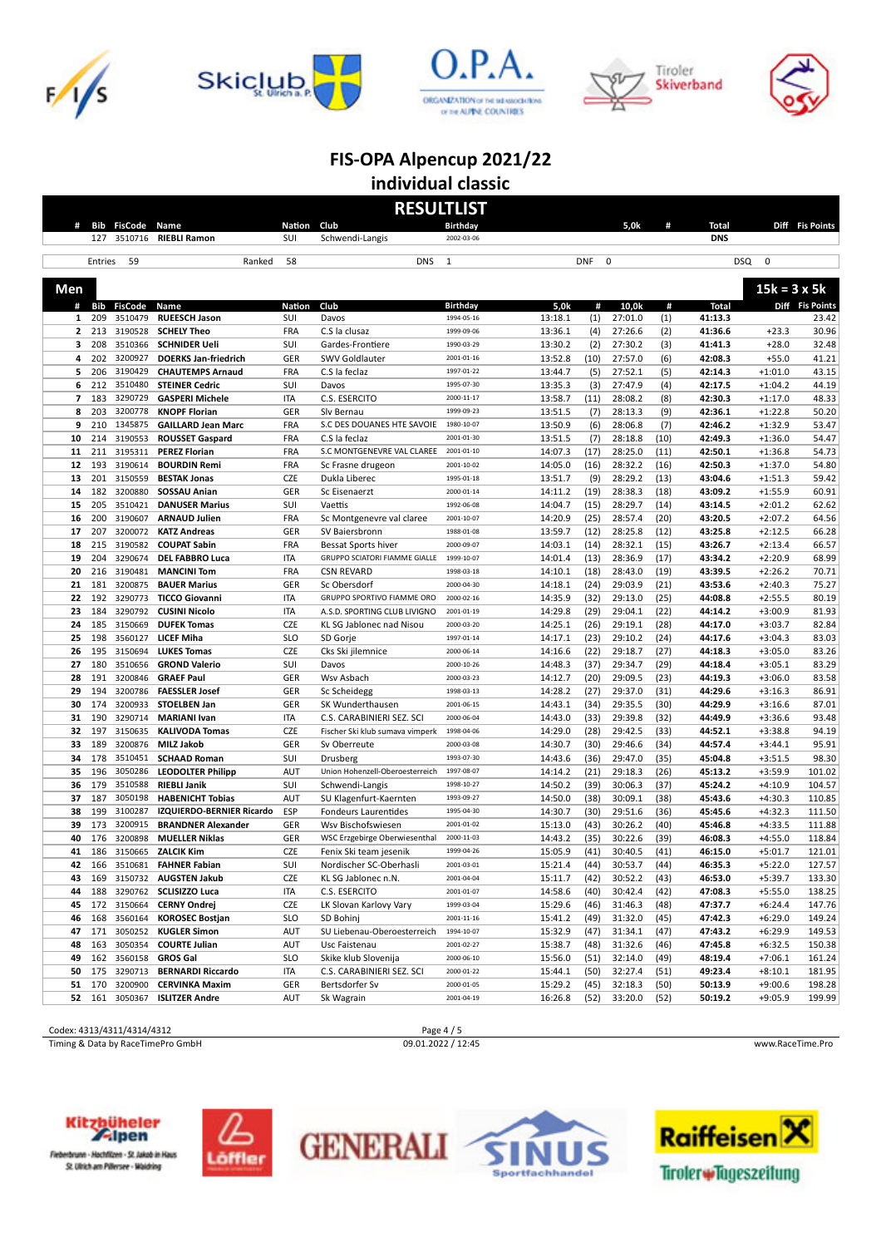









|                          | <b>RESULTLIST</b> |                    |                                               |                          |                                                            |                               |                            |                    |              |                    |                        |                 |  |
|--------------------------|-------------------|--------------------|-----------------------------------------------|--------------------------|------------------------------------------------------------|-------------------------------|----------------------------|--------------------|--------------|--------------------|------------------------|-----------------|--|
|                          |                   | # Bib FisCode      | Name                                          | Nation Club              |                                                            | <b>Birthday</b>               |                            | 5,0k               | #            | <b>Total</b>       |                        | Diff Fis Points |  |
|                          | 127               | 3510716            | <b>RIEBLI Ramon</b>                           | SUI                      | Schwendi-Langis                                            | 2002-03-06                    |                            |                    |              | <b>DNS</b>         |                        |                 |  |
|                          |                   |                    |                                               |                          |                                                            |                               |                            |                    |              |                    |                        |                 |  |
|                          | Entries           | 59                 | Ranked                                        | 58                       | <b>DNS</b>                                                 | $\mathbf{1}$                  | <b>DNF</b>                 | 0                  |              | <b>DSQ</b>         | $\mathbf 0$            |                 |  |
| Men                      |                   |                    |                                               |                          |                                                            |                               |                            |                    |              |                    | $15k = 3 \times 5k$    |                 |  |
| #                        | Bib               | <b>FisCode</b>     | Name                                          | <b>Nation</b>            | Club                                                       |                               | 5,0k<br>#                  | 10.0k              | #            | <b>Total</b>       |                        | Diff Fis Points |  |
| $\mathbf{1}$             | 209               | 3510479            | <b>RUEESCH Jason</b>                          | SUI                      | Davos                                                      | <b>Birthday</b><br>1994-05-16 | 13:18.1<br>(1)             | 27:01.0            | (1)          | 41:13.3            |                        | 23.42           |  |
| $\overline{2}$           | 213               | 3190528            | <b>SCHELY Theo</b>                            | FRA                      | C.S la clusaz                                              | 1999-09-06                    | 13:36.1<br>(4)             | 27:26.6            | (2)          | 41:36.6            | $+23.3$                | 30.96           |  |
| 3                        | 208               | 3510366            | <b>SCHNIDER Ueli</b>                          | SUI                      | Gardes-Frontiere                                           | 1990-03-29                    | 13:30.2<br>(2)             | 27:30.2            | (3)          | 41:41.3            | $+28.0$                | 32.48           |  |
| 4                        | 202               | 3200927            | <b>DOERKS Jan-friedrich</b>                   | GER                      | SWV Goldlauter                                             | 2001-01-16                    | 13:52.8<br>(10)            | 27:57.0            | (6)          | 42:08.3            | $+55.0$                | 41.21           |  |
| 5                        | 206               | 3190429            | <b>CHAUTEMPS Arnaud</b>                       | FRA                      | C.S la feclaz                                              | 1997-01-22                    | 13:44.7<br>(5)             | 27:52.1            | (5)          | 42:14.3            | $+1:01.0$              | 43.15           |  |
| 6                        | 212               | 3510480            | <b>STEINER Cedric</b>                         | SUI                      | Davos                                                      | 1995-07-30                    | 13:35.3<br>(3)             | 27:47.9            | (4)          | 42:17.5            | $+1:04.2$              | 44.19           |  |
| $\overline{\phantom{a}}$ | 183               | 3290729            | <b>GASPERI Michele</b>                        | <b>ITA</b>               | C.S. ESERCITO                                              | 2000-11-17                    | 13:58.7<br>(11)            | 28:08.2            | (8)          | 42:30.3            | $+1:17.0$              | 48.33           |  |
| 8                        | 203               | 3200778            | <b>KNOPF Florian</b>                          | GER                      | Slv Bernau                                                 | 1999-09-23                    | 13:51.5<br>(7)             | 28:13.3            | (9)          | 42:36.1            | $+1:22.8$              | 50.20           |  |
| 9                        | 210               | 1345875            | <b>GAILLARD Jean Marc</b>                     | FRA                      | S.C DES DOUANES HTE SAVOIE                                 | 1980-10-07                    | 13:50.9<br>(6)             | 28:06.8            | (7)          | 42:46.2            | $+1:32.9$              | 53.47           |  |
| 10                       | 214               | 3190553            | <b>ROUSSET Gaspard</b>                        | FRA                      | C.S la feclaz                                              | 2001-01-30                    | 13:51.5<br>(7)             | 28:18.8            | (10)         | 42:49.3            | $+1:36.0$              | 54.47           |  |
| 11                       | 211               | 3195311            | <b>PEREZ Florian</b>                          | FRA                      | S.C MONTGENEVRE VAL CLAREE                                 | 2001-01-10                    | 14:07.3<br>(17)            | 28:25.0            | (11)         | 42:50.1            | $+1:36.8$              | 54.73           |  |
| 12                       | 193               | 3190614            | <b>BOURDIN Remi</b>                           | FRA                      | Sc Frasne drugeon                                          | 2001-10-02                    | 14:05.0<br>(16)            | 28:32.2            | (16)         | 42:50.3            | $+1:37.0$              | 54.80           |  |
| 13                       | 201               | 3150559            | <b>BESTAK Jonas</b>                           | CZE                      | Dukla Liberec                                              | 1995-01-18                    | 13:51.7<br>(9)             | 28:29.2            | (13)         | 43:04.6            | $+1:51.3$              | 59.42           |  |
| 14                       | 182               | 3200880            | SOSSAU Anian                                  | GER                      | Sc Eisenaerzt                                              | 2000-01-14                    | 14:11.2<br>(19)            | 28:38.3            | (18)         | 43:09.2            | $+1:55.9$              | 60.91           |  |
| 15                       | 205               | 3510421            | <b>DANUSER Marius</b>                         | SUI                      | Vaettis                                                    | 1992-06-08                    | 14:04.7<br>(15)            | 28:29.7            | (14)         | 43:14.5            | $+2:01.2$              | 62.62           |  |
| 16                       | 200               | 3190607            | <b>ARNAUD Julien</b>                          | FRA                      | Sc Montgenevre val claree                                  | 2001-10-07                    | 14:20.9<br>(25)            | 28:57.4            | (20)         | 43:20.5            | $+2:07.2$              | 64.56           |  |
| 17                       | 207               | 3200072            | <b>KATZ Andreas</b>                           | GER                      | SV Baiersbronn                                             | 1988-01-08                    | 13:59.7<br>(12)            | 28:25.8            | (12)         | 43:25.8            | $+2:12.5$              | 66.28           |  |
| 18                       | 215               | 3190582            | <b>COUPAT Sabin</b>                           | FRA                      | Bessat Sports hiver                                        | 2000-09-07                    | 14:03.1<br>(14)            | 28:32.1            | (15)         | 43:26.7            | $+2:13.4$              | 66.57           |  |
| 19                       | 204               | 3290674            | <b>DEL FABBRO Luca</b>                        | <b>ITA</b>               | GRUPPO SCIATORI FIAMME GIALLE                              | 1999-10-07                    | 14:01.4<br>(13)            | 28:36.9            | (17)         | 43:34.2            | $+2:20.9$              | 68.99           |  |
| 20                       | 216               | 3190481            | <b>MANCINI Tom</b>                            | <b>FRA</b>               | <b>CSN REVARD</b>                                          | 1998-03-18                    | 14:10.1<br>(18)            | 28:43.0            | (19)         | 43:39.5            | $+2:26.2$              | 70.71           |  |
| 21                       | 181               | 3200875            | <b>BAUER Marius</b>                           | GER                      | Sc Obersdorf                                               | 2000-04-30                    | 14:18.1<br>(24)            | 29:03.9            | (21)         | 43:53.6            | $+2:40.3$              | 75.27           |  |
| 22<br>23                 | 192<br>184        | 3290773<br>3290792 | <b>TICCO Giovanni</b><br><b>CUSINI Nicolo</b> | <b>ITA</b><br><b>ITA</b> | GRUPPO SPORTIVO FIAMME ORO<br>A.S.D. SPORTING CLUB LIVIGNO | 2000-02-16<br>2001-01-19      | 14:35.9<br>(32)<br>14:29.8 | 29:13.0            | (25)<br>(22) | 44:08.8<br>44:14.2 | $+2:55.5$<br>$+3:00.9$ | 80.19<br>81.93  |  |
| 24                       | 185               | 3150669            | <b>DUFEK Tomas</b>                            | CZE                      | KL SG Jablonec nad Nisou                                   | 2000-03-20                    | (29)<br>14:25.1<br>(26)    | 29:04.1<br>29:19.1 | (28)         | 44:17.0            | $+3:03.7$              | 82.84           |  |
| 25                       | 198               | 3560127            | LICEF Miha                                    | <b>SLO</b>               | SD Gorje                                                   | 1997-01-14                    | 14:17.1<br>(23)            | 29:10.2            | (24)         | 44:17.6            | $+3:04.3$              | 83.03           |  |
| 26                       | 195               | 3150694            | <b>LUKES Tomas</b>                            | CZE                      | Cks Ski jilemnice                                          | 2000-06-14                    | 14:16.6<br>(22)            | 29:18.7            | (27)         | 44:18.3            | $+3:05.0$              | 83.26           |  |
| 27                       | 180               | 3510656            | <b>GROND Valerio</b>                          | SUI                      | Davos                                                      | 2000-10-26                    | 14:48.3<br>(37)            | 29:34.7            | (29)         | 44:18.4            | $+3:05.1$              | 83.29           |  |
| 28                       | 191               | 3200846            | <b>GRAEF Paul</b>                             | GER                      | Wsv Asbach                                                 | 2000-03-23                    | 14:12.7<br>(20)            | 29:09.5            | (23)         | 44:19.3            | $+3:06.0$              | 83.58           |  |
| 29                       | 194               | 3200786            | <b>FAESSLER Josef</b>                         | GER                      | Sc Scheidegg                                               | 1998-03-13                    | 14:28.2<br>(27)            | 29:37.0            | (31)         | 44:29.6            | $+3:16.3$              | 86.91           |  |
| 30                       | 174               | 3200933            | <b>STOELBEN Jan</b>                           | GER                      | SK Wunderthausen                                           | 2001-06-15                    | 14:43.1<br>(34)            | 29:35.5            | (30)         | 44:29.9            | $+3:16.6$              | 87.01           |  |
| 31                       | 190               | 3290714            | <b>MARIANI Ivan</b>                           | <b>ITA</b>               | C.S. CARABINIERI SEZ. SCI                                  | 2000-06-04                    | 14:43.0<br>(33)            | 29:39.8            | (32)         | 44:49.9            | $+3:36.6$              | 93.48           |  |
| 32                       | 197               | 3150635            | <b>KALIVODA Tomas</b>                         | CZE                      | Fischer Ski klub sumava vimperk                            | 1998-04-06                    | 14:29.0<br>(28)            | 29:42.5            | (33)         | 44:52.1            | $+3:38.8$              | 94.19           |  |
| 33                       | 189               | 3200876            | MILZ Jakob                                    | GER                      | Sv Oberreute                                               | 2000-03-08                    | 14:30.7<br>(30)            | 29:46.6            | (34)         | 44:57.4            | $+3:44.1$              | 95.91           |  |
| 34                       | 178               | 3510451            | <b>SCHAAD Roman</b>                           | SUI                      | Drusberg                                                   | 1993-07-30                    | 14:43.6<br>(36)            | 29:47.0            | (35)         | 45:04.8            | $+3:51.5$              | 98.30           |  |
| 35                       | 196               | 3050286            | <b>LEODOLTER Philipp</b>                      | <b>AUT</b>               | Union Hohenzell-Oberoesterreich                            | 1997-08-07                    | 14:14.2<br>(21)            | 29:18.3            | (26)         | 45:13.2            | $+3:59.9$              | 101.02          |  |
| 36                       | 179               | 3510588            | <b>RIEBLI Janik</b>                           | SUI                      | Schwendi-Langis                                            | 1998-10-27                    | 14:50.2<br>(39)            | 30:06.3            | (37)         | 45:24.2            | $+4:10.9$              | 104.57          |  |
| 37                       | 187               | 3050198            | <b>HABENICHT Tobias</b>                       | <b>AUT</b>               | SU Klagenfurt-Kaernten                                     | 1993-09-27                    | 14:50.0<br>(38)            | 30:09.1            | (38)         | 45:43.6            | $+4:30.3$              | 110.85          |  |
| 38                       | 199               | 3100287            | IZQUIERDO-BERNIER Ricardo                     | ESP                      | <b>Fondeurs Laurentides</b>                                | 1995-04-30                    | 14:30.7<br>(30)            | 29:51.6            | (36)         | 45:45.6            | $+4:32.3$              | 111.50          |  |
| 39                       | 173               | 3200915            | <b>BRANDNER Alexander</b>                     | GER                      | Wsv Bischofswiesen                                         | 2001-01-02                    | 15:13.0<br>(43)            | 30:26.2            | (40)         | 45:46.8            | $+4:33.5$              | 111.88          |  |
| 40                       | 176               | 3200898            | <b>MUELLER Niklas</b>                         | GER                      | WSC Erzgebirge Oberwiesenthal                              | 2000-11-03                    | 14:43.2<br>(35)            | 30:22.6            | (39)         | 46:08.3            | $+4:55.0$              | 118.84          |  |
| 41                       | 186               | 3150665            | <b>ZALCIK Kim</b>                             | CZE                      | Fenix Ski team jesenik                                     | 1999-04-26                    | 15:05.9<br>(41)            | 30:40.5            | (41)         | 46:15.0            | $+5:01.7$              | 121.01          |  |
| 42                       |                   | 166 3510681        | <b>FAHNER Fabian</b>                          | SUI                      | Nordischer SC-Oberhasli                                    | 2001-03-01                    | 15:21.4<br>(44)            | 30:53.7            | (44)         | 46:35.3            | $+5:22.0$              | 127.57          |  |
| 43                       | 169               | 3150732            | <b>AUGSTEN Jakub</b>                          | <b>CZE</b>               | KL SG Jablonec n.N.                                        | 2001-04-04                    | 15:11.7<br>(42)            | 30:52.2            | (43)         | 46:53.0            | $+5:39.7$              | 133.30          |  |
| 44                       | 188               | 3290762            | <b>SCLISIZZO Luca</b>                         | ITA                      | C.S. ESERCITO                                              | 2001-01-07                    | 14:58.6<br>(40)            | 30:42.4            | (42)         | 47:08.3            | $+5:55.0$              | 138.25          |  |
| 45                       | 172               | 3150664            | <b>CERNY Ondrej</b>                           | CZE                      | LK Slovan Karlovy Vary                                     | 1999-03-04                    | 15:29.6<br>(46)            | 31:46.3            | (48)         | 47:37.7            | $+6:24.4$              | 147.76          |  |
| 46                       | 168               | 3560164            | <b>KOROSEC Bostjan</b>                        | <b>SLO</b>               | SD Bohinj                                                  | 2001-11-16                    | 15:41.2<br>(49)            | 31:32.0            | (45)         | 47:42.3            | $+6:29.0$              | 149.24          |  |
| 47                       | 171               | 3050252            | <b>KUGLER Simon</b>                           | AUT                      | SU Liebenau-Oberoesterreich                                | 1994-10-07                    | 15:32.9<br>(47)            | 31:34.1            | (47)         | 47:43.2            | $+6:29.9$              | 149.53          |  |
| 48                       | 163               | 3050354            | <b>COURTE Julian</b>                          | AUT                      | Usc Faistenau                                              | 2001-02-27                    | 15:38.7<br>(48)            | 31:32.6            | (46)         | 47:45.8            | $+6:32.5$              | 150.38          |  |
| 49                       | 162               | 3560158            | <b>GROS Gal</b>                               | <b>SLO</b>               | Skike klub Slovenija                                       | 2000-06-10                    | 15:56.0<br>(51)            | 32:14.0            | (49)         | 48:19.4            | $+7:06.1$              | 161.24          |  |
| 50                       | 175               | 3290713            | <b>BERNARDI Riccardo</b>                      | ITA                      | C.S. CARABINIERI SEZ. SCI                                  | 2000-01-22                    | 15:44.1<br>(50)            | 32:27.4            | (51)         | 49:23.4            | $+8:10.1$              | 181.95          |  |
| 51                       | 170               | 3200900            | <b>CERVINKA Maxim</b>                         | GER                      | Bertsdorfer Sv                                             | 2000-01-05                    | 15:29.2<br>(45)            | 32:18.3            | (50)         | 50:13.9            | $+9:00.6$              | 198.28          |  |
| 52                       | 161               | 3050367            | <b>ISLITZER Andre</b>                         | AUT                      | Sk Wagrain                                                 | 2001-04-19                    | 16:26.8<br>(52)            | 33:20.0            | (52)         | 50:19.2            | $+9:05.9$              | 199.99          |  |

# Codex: 4313/4311/4314/4312 Page 4 / 5<br>
Timing & Data by RaceTimePro GmbH 09.01.2022 / 12:45

Timing & Data by RaceTimePro GmbH 09.01.2022 / 12:45 www.RaceTime.Pro





erbrunn - Hochfilzen - St. Jakob in Haus St. Ulrich am Pillersee - Waldring